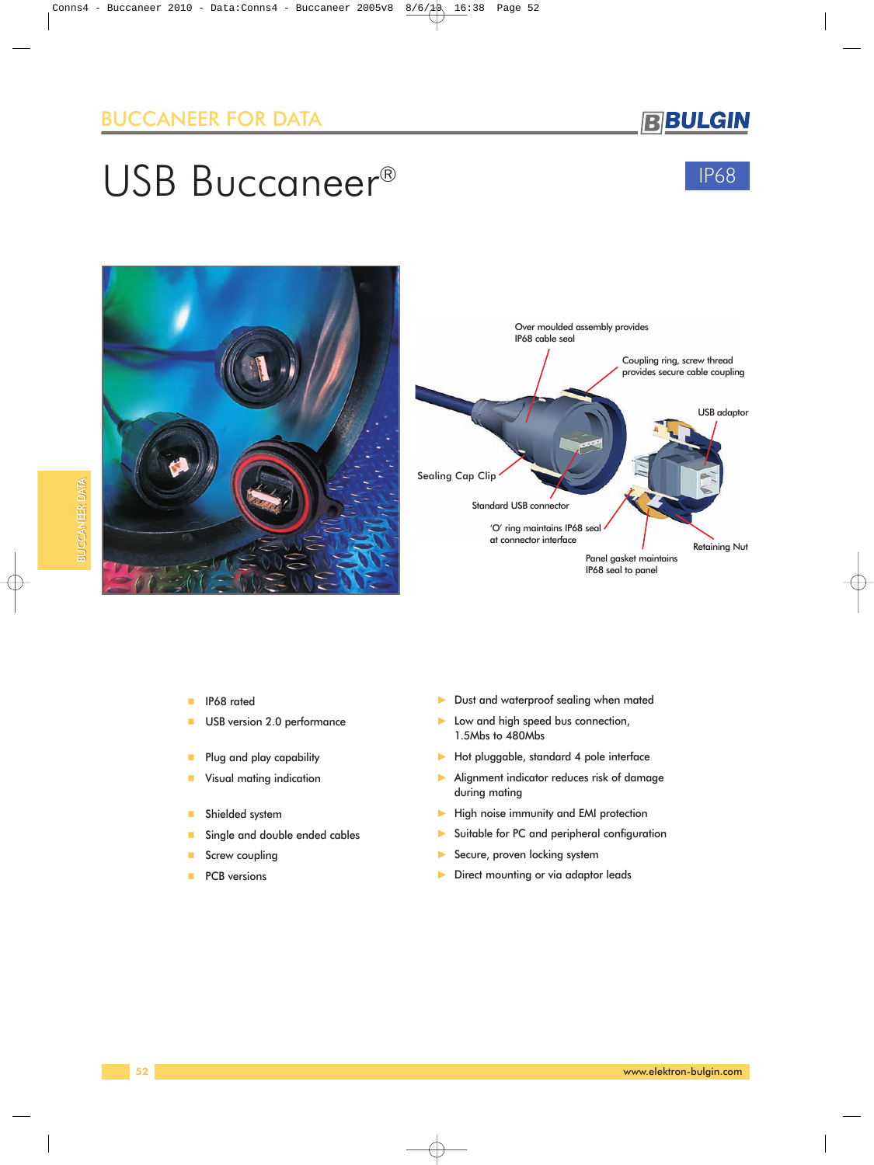**BBULGIN** 

# USB Buccaneer®







- **IP68** rated
- **USB version 2.0 performance**
- **Plug and play capability**
- **Visual mating indication**
- **Shielded system**
- Single and double ended cables
- Screw coupling
- PCB versions
- Dust and waterproof sealing when mated
- Low and high speed bus connection, 1.5Mbs to 480Mbs
- Hot pluggable, standard 4 pole interface
- Alignment indicator reduces risk of damage during mating
- High noise immunity and EMI protection
- Suitable for PC and peripheral configuration
- Secure, proven locking system
- Direct mounting or via adaptor leads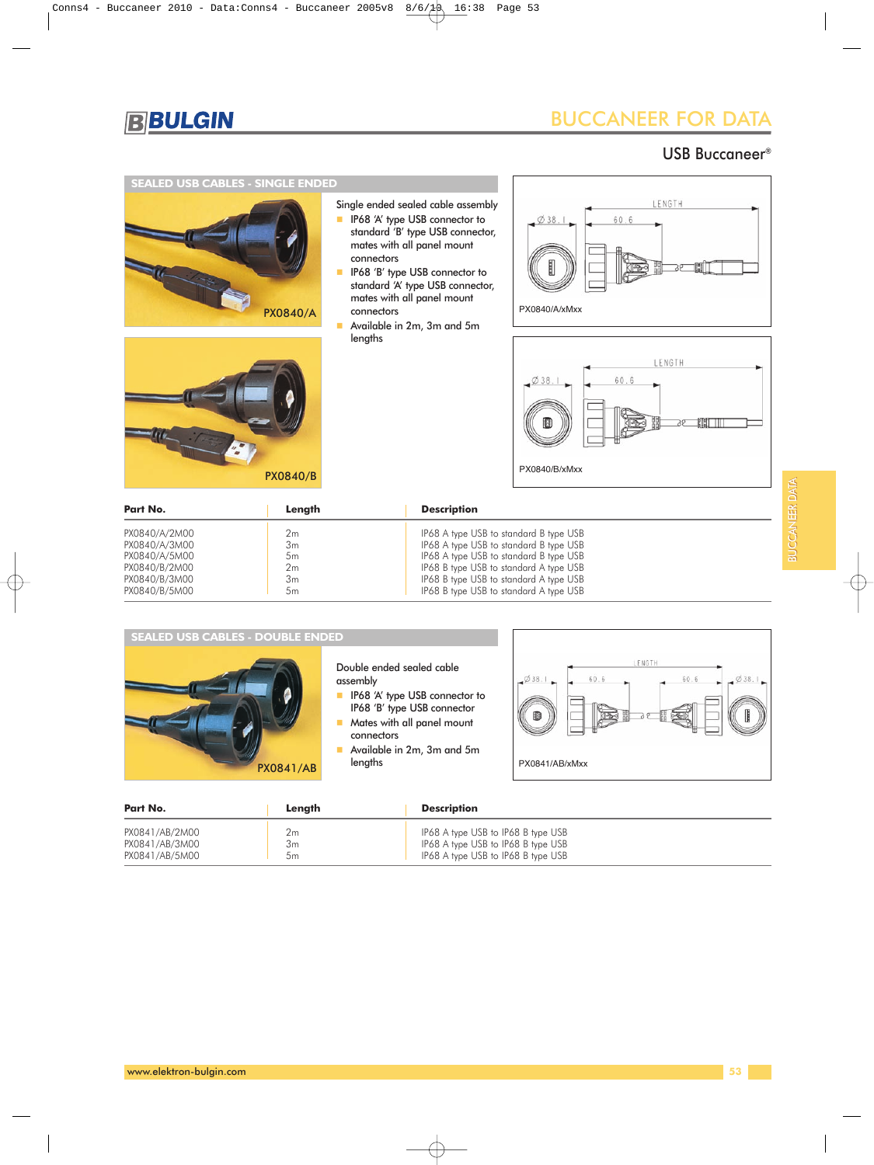

### USB Buccaneer®

#### **SEALED USB CABLES - SINGLE ENDED**



PX0840/B



- **IF68 'A' type USB connector to** standard 'B' type USB connector, mates with all panel mount connectors
- **IF68 'B' type USB connector to** standard 'A' type USB connector, mates with all panel mount connectors
- Available in 2m, 3m and 5m lengths





PX0840/B/xMxx

| Part No.      | Lenath         | <b>Description</b>                     |  |
|---------------|----------------|----------------------------------------|--|
| PX0840/A/2M00 | 2m             | IP68 A type USB to standard B type USB |  |
| PX0840/A/3M00 | 3m             | IP68 A type USB to standard B type USB |  |
| PX0840/A/5M00 | 5m             | IP68 A type USB to standard B type USB |  |
| PX0840/B/2M00 | 2 <sub>m</sub> | IP68 B type USB to standard A type USB |  |
| PX0840/B/3M00 | 3m             | IP68 B type USB to standard A type USB |  |
| PX0840/B/5M00 | 5m             | IP68 B type USB to standard A type USB |  |



Double ended sealed cable assembly

- **IF68 'A' type USB connector to** IP68 'B' type USB connector
- **Mates with all panel mount** connectors
- Available in 2m, 3m and 5m lengths



| Part No.       | Lenath | <b>Description</b>                 |
|----------------|--------|------------------------------------|
| PX0841/AB/2M00 | Ζm     | IP68 A type USB to IP68 B type USB |
| PX0841/AB/3M00 | პm     | IP68 A type USB to IP68 B type USB |
| PX0841/AB/5M00 | 5m     | IP68 A type USB to IP68 B type USB |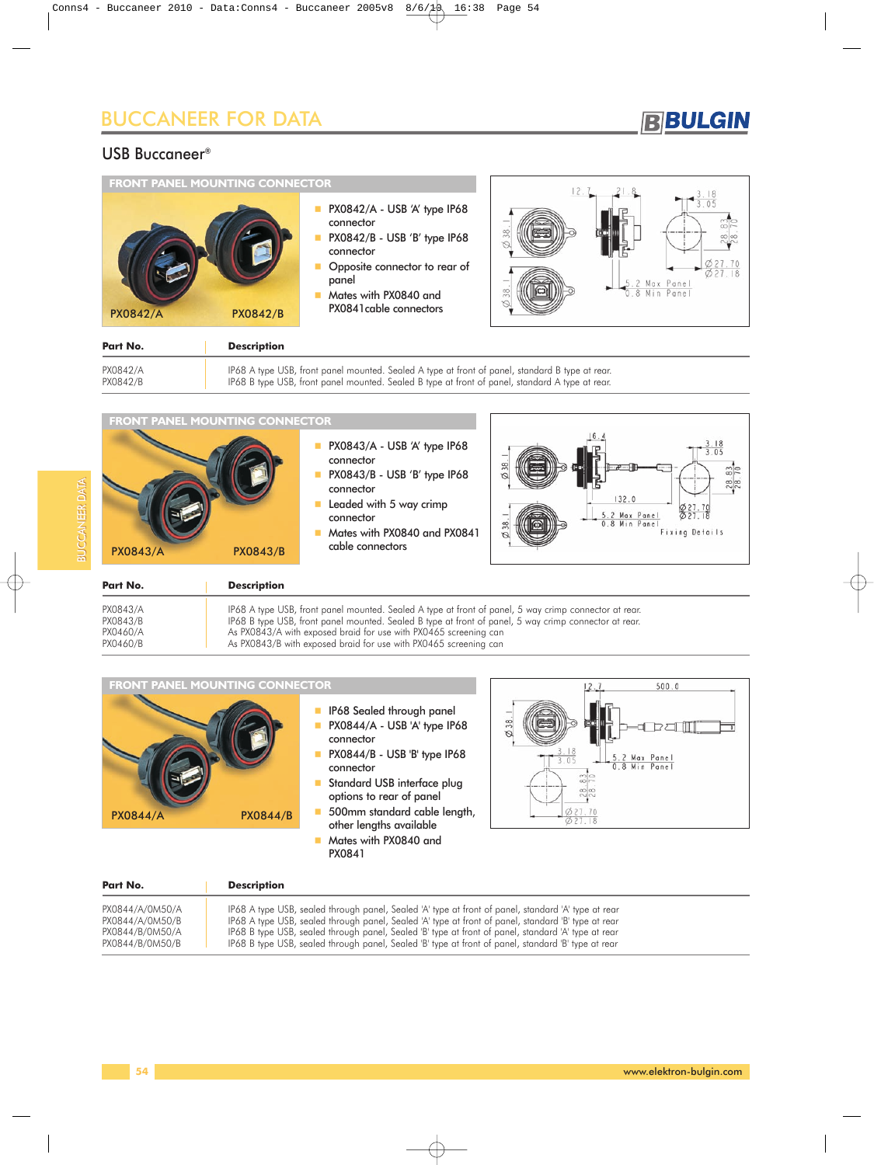## **BBULGIN**

#### USB Buccaneer®

| <b>FRONT PANEL MOUNTING CONNECTOR</b> | PX0842/A - USB 'A' type IP68                                                                                                                         |                    |           |
|---------------------------------------|------------------------------------------------------------------------------------------------------------------------------------------------------|--------------------|-----------|
| <b>PX0842/A</b><br><b>PX0842/B</b>    | connector<br>PX0842/B - USB 'B' type IP68<br>connector<br>Opposite connector to rear of<br>panel<br>Mates with PX0840 and<br>PX0841 cable connectors | $\frac{8}{3}$<br>≋ | Min Panel |
| Part No.<br><b>Description</b>        |                                                                                                                                                      |                    |           |

| PX0842/A |  |
|----------|--|
| DYOQAO/D |  |

PX0842/A IP68 A type USB, front panel mounted. Sealed A type at front of panel, standard B type at rear. PX0842/B IP68 B type USB, front panel mounted. Sealed B type at front of panel, standard A type at rear.

| <b>PX0843/A</b><br>Part No. | <b>PX0843/B</b><br><b>Description</b> | connector<br>Leaded with 5 way crimp<br>connector<br>Mates with PX0840 and PX0841<br>cable connectors | 132.0<br>027.70<br>0.27.18<br>5.2 Max Panel<br>0.8 Min Panel<br>Fixing Details    |
|-----------------------------|---------------------------------------|-------------------------------------------------------------------------------------------------------|-----------------------------------------------------------------------------------|
|                             |                                       | PX0843/A - USB 'A' type IP68<br>connector<br>PX0843/B - USB 'B' type IP68                             | 16.<br>≋<br>$\frac{3}{70}$<br>B,<br><b>MAR &amp; MAR &amp; MAR &amp; M</b><br>288 |
|                             | <b>FRONT PANEL MOUNTING CONNECTOR</b> |                                                                                                       |                                                                                   |

**FRONT PANEL MOUNTING CONNECTOR**

|                                    | IP68 Sealed through panel<br>PX0844/A - USB 'A' type IP68<br>connector<br>PX0844/B - USB 'B' type IP68<br>connector<br>Standard USB interface plug<br>options to rear of panel |  |
|------------------------------------|--------------------------------------------------------------------------------------------------------------------------------------------------------------------------------|--|
| <b>PX0844/B</b><br><b>PX0844/A</b> | 500mm standard cable length,<br>other lengths available                                                                                                                        |  |

**Mates with PX0840 and** PX0841



| Part No.        | <b>Description</b>                                                                                  |
|-----------------|-----------------------------------------------------------------------------------------------------|
| PX0844/A/0M50/A | IP68 A type USB, sealed through panel, Sealed 'A' type at front of panel, standard 'A' type at rear |
| PX0844/A/0M50/B | IP68 A type USB, sealed through panel, Sealed 'A' type at front of panel, standard 'B' type at rear |
| PX0844/B/0M50/A | IP68 B type USB, sealed through panel, Sealed 'B' type at front of panel, standard 'A' type at rear |
| PX0844/B/0M50/B | IP68 B type USB, sealed through panel, Sealed 'B' type at front of panel, standard 'B' type at rear |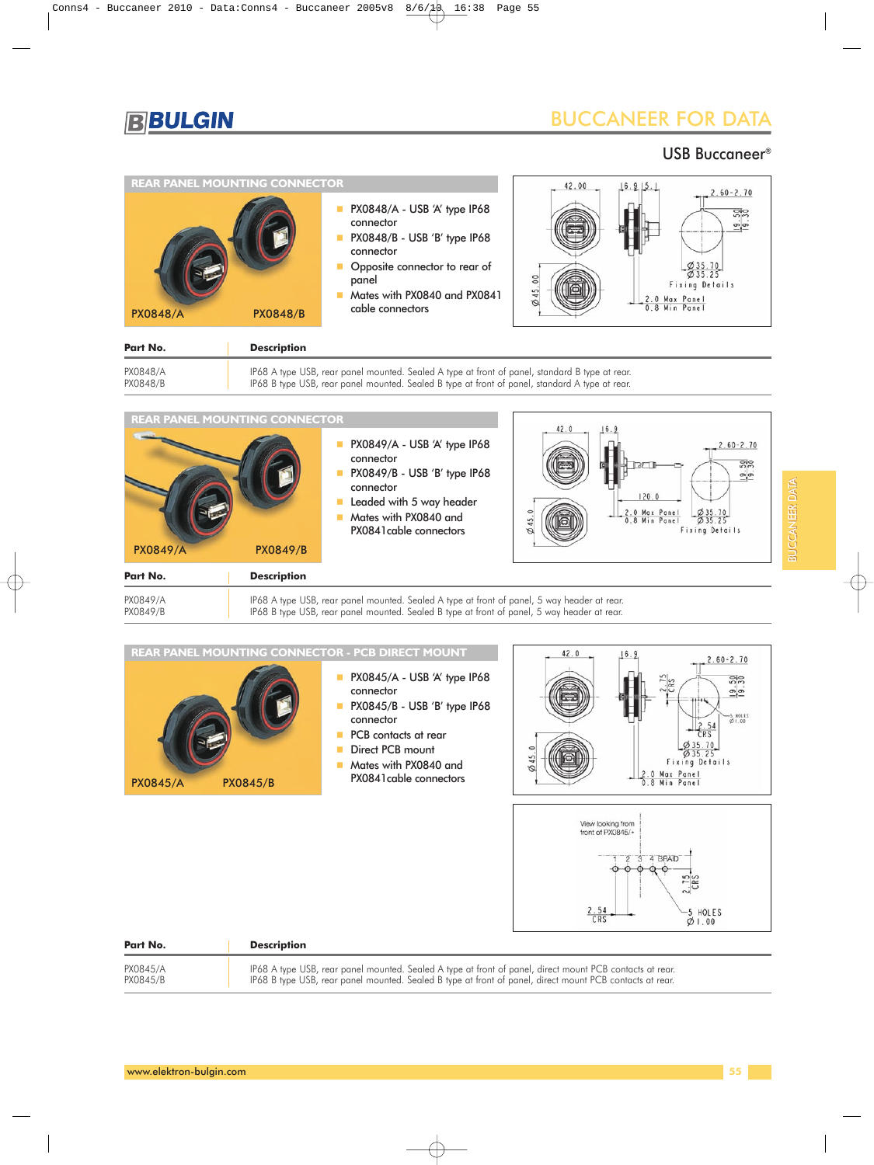

#### USB Buccaneer®



| Part No. | <b>Description</b>                                                                             |
|----------|------------------------------------------------------------------------------------------------|
| PX0848/A | IP68 A type USB, rear panel mounted. Sealed A type at front of panel, standard B type at rear. |
| PX0848/B | IP68 B type USB, rear panel mounted. Sealed B type at front of panel, standard A type at rear. |



```
PX0849/A IP68 A type USB, rear panel mounted. Sealed A type at front of panel, 5 way header at rear.<br>PX0849/B IP68 B type USB, rear panel mounted. Sealed B type at front of panel, 5 way header at rear.
                                          P68 B type USB, rear panel mounted. Sealed B type at front of panel, 5 way header at rear.
```


| Part No. | <b>Description</b>                                                                                       |
|----------|----------------------------------------------------------------------------------------------------------|
| PX0845/A | IP68 A type USB, rear panel mounted. Sealed A type at front of panel, direct mount PCB contacts at rear. |
| PX0845/B | IP68 B type USB, rear panel mounted. Sealed B type at front of panel, direct mount PCB contacts at rear. |

 $01.00$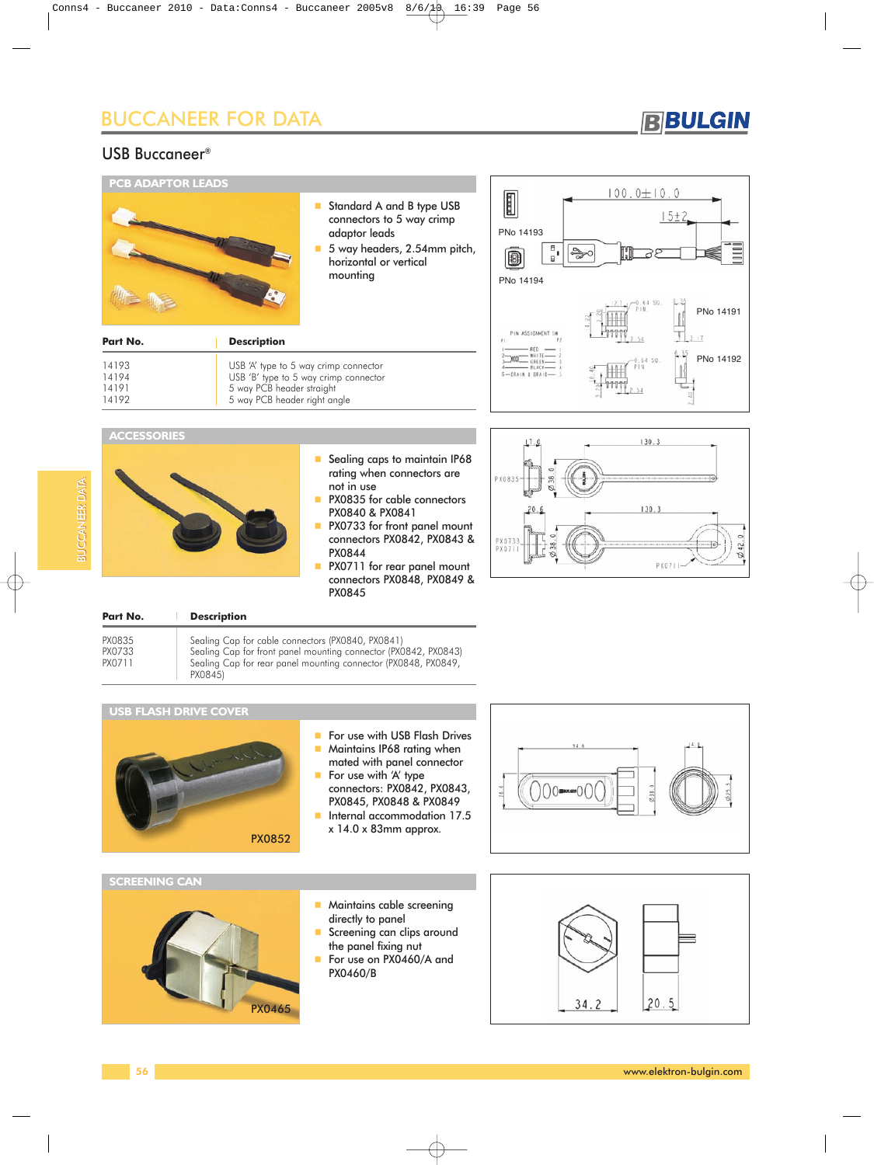### **BBULGIN**

### USB Buccaneer®



| 14193<br>14194<br>14191<br>14192 | USB 'A' type to 5 way crimp connector<br>USB 'B' type to 5 way crimp connector<br>5 way PCB header straight<br>5 way PCB header right angle |
|----------------------------------|---------------------------------------------------------------------------------------------------------------------------------------------|
|                                  |                                                                                                                                             |



#### **ACCESSORIES**

BUCCANEER DATA

**BUCCANER DATA** 



- Sealing caps to maintain IP68 rating when connectors are not in use
- **PX0835 for cable connectors** PX0840 & PX0841
- **PX0733 for front panel mount** connectors PX0842, PX0843 & PX0844
- **PX0711** for rear panel mount connectors PX0848, PX0849 & PX0845



| Part No.                   | <b>Description</b>                                                                                                                                                                                |
|----------------------------|---------------------------------------------------------------------------------------------------------------------------------------------------------------------------------------------------|
| PX0835<br>PX0733<br>PX0711 | Sealing Cap for cable connectors (PX0840, PX0841)<br>Sealing Cap for front panel mounting connector (PX0842, PX0843)<br>Sealing Cap for rear panel mounting connector (PX0848, PX0849,<br>PX0845) |

#### **USB FLASH DRIVE COVER**



- For use with USB Flash Drives
- **Maintains IP68 rating when** mated with panel connector
- $\blacksquare$  For use with 'A' type
- connectors: PX0842, PX0843, PX0845, PX0848 & PX0849
- **Internal accommodation 17.5** x 14.0 x 83mm approx.



#### **SCREENING CAN**



- **Maintains cable screening** directly to panel
- Screening can clips around the panel fixing nut
- For use on PX0460/A and PX0460/B